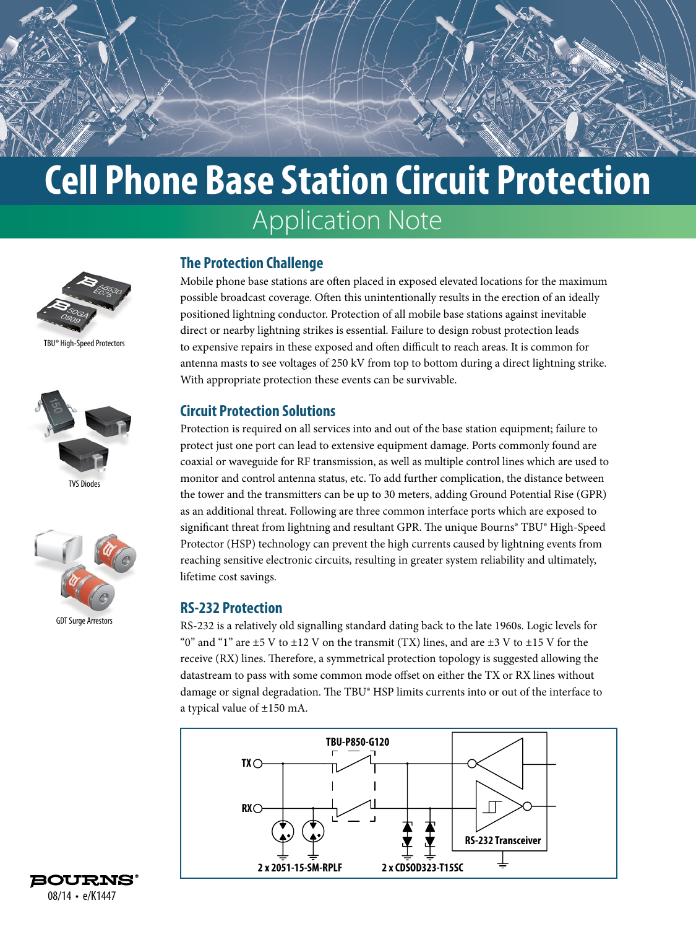# **Cell Phone Base Station Circuit Protection** Application Note



TBU® High-Speed Protectors



TVS Diodes



GDT Surge Arrestors



## **The Protection Challenge**

Mobile phone base stations are often placed in exposed elevated locations for the maximum possible broadcast coverage. Often this unintentionally results in the erection of an ideally positioned lightning conductor. Protection of all mobile base stations against inevitable direct or nearby lightning strikes is essential. Failure to design robust protection leads to expensive repairs in these exposed and often difficult to reach areas. It is common for antenna masts to see voltages of 250 kV from top to bottom during a direct lightning strike. With appropriate protection these events can be survivable.

### **Circuit Protection Solutions**

Protection is required on all services into and out of the base station equipment; failure to protect just one port can lead to extensive equipment damage. Ports commonly found are coaxial or waveguide for RF transmission, as well as multiple control lines which are used to monitor and control antenna status, etc. To add further complication, the distance between the tower and the transmitters can be up to 30 meters, adding Ground Potential Rise (GPR) as an additional threat. Following are three common interface ports which are exposed to significant threat from lightning and resultant GPR. The unique Bourns® TBU® High-Speed Protector (HSP) technology can prevent the high currents caused by lightning events from reaching sensitive electronic circuits, resulting in greater system reliability and ultimately, lifetime cost savings.

### **RS-232 Protection**

RS-232 is a relatively old signalling standard dating back to the late 1960s. Logic levels for "0" and "1" are  $\pm$ 5 V to  $\pm$ 12 V on the transmit (TX) lines, and are  $\pm$ 3 V to  $\pm$ 15 V for the receive (RX) lines. Therefore, a symmetrical protection topology is suggested allowing the datastream to pass with some common mode offset on either the TX or RX lines without damage or signal degradation. The TBU® HSP limits currents into or out of the interface to a typical value of ±150 mA.